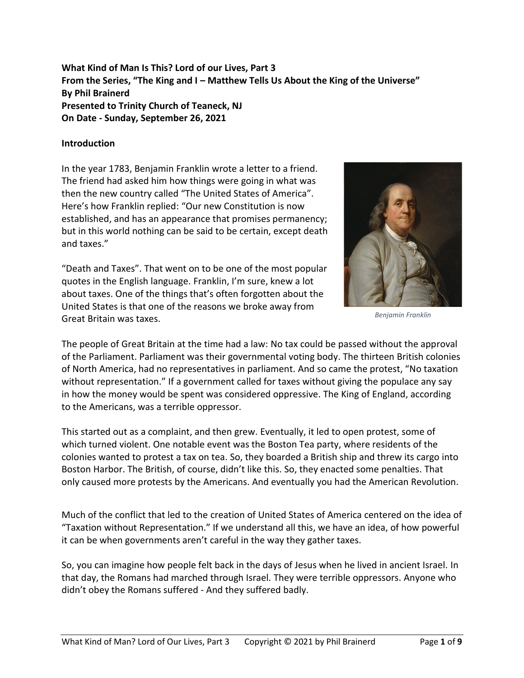**What Kind of Man Is This? Lord of our Lives, Part 3 From the Series, "The King and I – Matthew Tells Us About the King of the Universe" By Phil Brainerd Presented to Trinity Church of Teaneck, NJ On Date - Sunday, September 26, 2021**

### **Introduction**

In the year 1783, Benjamin Franklin wrote a letter to a friend. The friend had asked him how things were going in what was then the new country called "The United States of America". Here's how Franklin replied: "Our new Constitution is now established, and has an appearance that promises permanency; but in this world nothing can be said to be certain, except death and taxes."

"Death and Taxes". That went on to be one of the most popular quotes in the English language. Franklin, I'm sure, knew a lot about taxes. One of the things that's often forgotten about the United States is that one of the reasons we broke away from Great Britain was taxes.



*Benjamin Franklin*

The people of Great Britain at the time had a law: No tax could be passed without the approval of the Parliament. Parliament was their governmental voting body. The thirteen British colonies of North America, had no representatives in parliament. And so came the protest, "No taxation without representation." If a government called for taxes without giving the populace any say in how the money would be spent was considered oppressive. The King of England, according to the Americans, was a terrible oppressor.

This started out as a complaint, and then grew. Eventually, it led to open protest, some of which turned violent. One notable event was the Boston Tea party, where residents of the colonies wanted to protest a tax on tea. So, they boarded a British ship and threw its cargo into Boston Harbor. The British, of course, didn't like this. So, they enacted some penalties. That only caused more protests by the Americans. And eventually you had the American Revolution.

Much of the conflict that led to the creation of United States of America centered on the idea of "Taxation without Representation." If we understand all this, we have an idea, of how powerful it can be when governments aren't careful in the way they gather taxes.

So, you can imagine how people felt back in the days of Jesus when he lived in ancient Israel. In that day, the Romans had marched through Israel. They were terrible oppressors. Anyone who didn't obey the Romans suffered - And they suffered badly.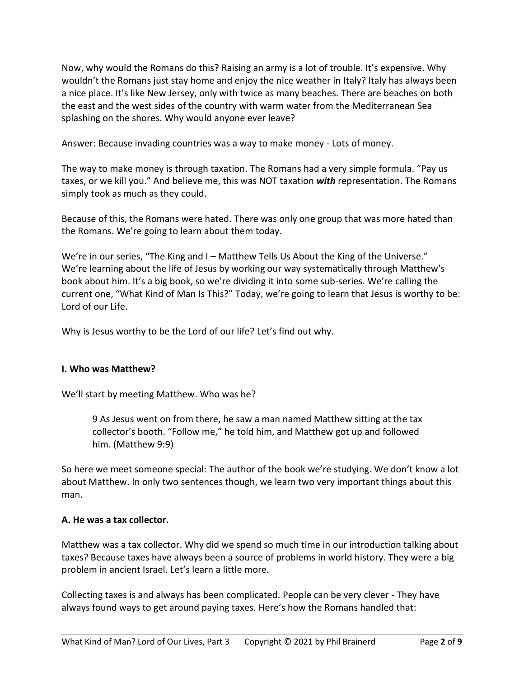Now, why would the Romans do this? Raising an army is a lot of trouble. It's expensive. Why wouldn't the Romans just stay home and enjoy the nice weather in Italy? Italy has always been a nice place. It's like New Jersey, only with twice as many beaches. There are beaches on both the east and the west sides of the country with warm water from the Mediterranean Sea splashing on the shores. Why would anyone ever leave?

Answer: Because invading countries was a way to make money - Lots of money.

The way to make money is through taxation. The Romans had a very simple formula. "Pay us taxes, or we kill you." And believe me, this was NOT taxation *with* representation. The Romans simply took as much as they could.

Because of this, the Romans were hated. There was only one group that was more hated than the Romans. We're going to learn about them today.

We're in our series, "The King and I – Matthew Tells Us About the King of the Universe." We're learning about the life of Jesus by working our way systematically through Matthew's book about him. It's a big book, so we're dividing it into some sub-series. We're calling the current one, "What Kind of Man Is This?" Today, we're going to learn that Jesus is worthy to be: Lord of our Life.

Why is Jesus worthy to be the Lord of our life? Let's find out why.

### **I. Who was Matthew?**

We'll start by meeting Matthew. Who was he?

9 As Jesus went on from there, he saw a man named Matthew sitting at the tax collector's booth. "Follow me," he told him, and Matthew got up and followed him. (Matthew 9:9)

So here we meet someone special: The author of the book we're studying. We don't know a lot about Matthew. In only two sentences though, we learn two very important things about this man.

### **A. He was a tax collector.**

Matthew was a tax collector. Why did we spend so much time in our introduction talking about taxes? Because taxes have always been a source of problems in world history. They were a big problem in ancient Israel. Let's learn a little more.

Collecting taxes is and always has been complicated. People can be very clever - They have always found ways to get around paying taxes. Here's how the Romans handled that: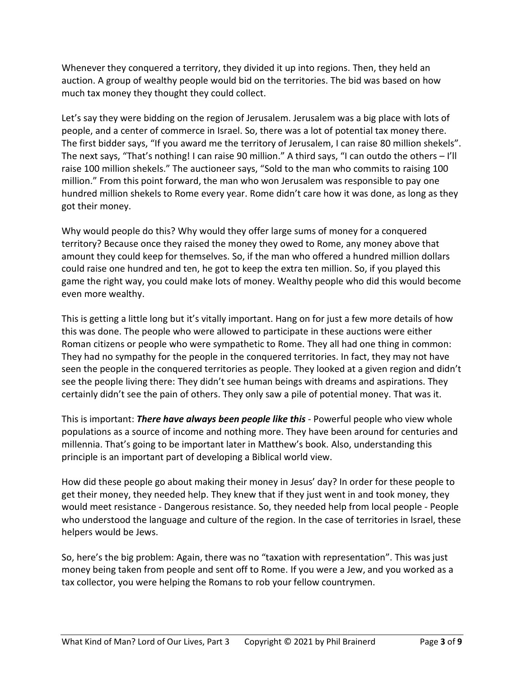Whenever they conquered a territory, they divided it up into regions. Then, they held an auction. A group of wealthy people would bid on the territories. The bid was based on how much tax money they thought they could collect.

Let's say they were bidding on the region of Jerusalem. Jerusalem was a big place with lots of people, and a center of commerce in Israel. So, there was a lot of potential tax money there. The first bidder says, "If you award me the territory of Jerusalem, I can raise 80 million shekels". The next says, "That's nothing! I can raise 90 million." A third says, "I can outdo the others – I'll raise 100 million shekels." The auctioneer says, "Sold to the man who commits to raising 100 million." From this point forward, the man who won Jerusalem was responsible to pay one hundred million shekels to Rome every year. Rome didn't care how it was done, as long as they got their money.

Why would people do this? Why would they offer large sums of money for a conquered territory? Because once they raised the money they owed to Rome, any money above that amount they could keep for themselves. So, if the man who offered a hundred million dollars could raise one hundred and ten, he got to keep the extra ten million. So, if you played this game the right way, you could make lots of money. Wealthy people who did this would become even more wealthy.

This is getting a little long but it's vitally important. Hang on for just a few more details of how this was done. The people who were allowed to participate in these auctions were either Roman citizens or people who were sympathetic to Rome. They all had one thing in common: They had no sympathy for the people in the conquered territories. In fact, they may not have seen the people in the conquered territories as people. They looked at a given region and didn't see the people living there: They didn't see human beings with dreams and aspirations. They certainly didn't see the pain of others. They only saw a pile of potential money. That was it.

This is important: *There have always been people like this* - Powerful people who view whole populations as a source of income and nothing more. They have been around for centuries and millennia. That's going to be important later in Matthew's book. Also, understanding this principle is an important part of developing a Biblical world view.

How did these people go about making their money in Jesus' day? In order for these people to get their money, they needed help. They knew that if they just went in and took money, they would meet resistance - Dangerous resistance. So, they needed help from local people - People who understood the language and culture of the region. In the case of territories in Israel, these helpers would be Jews.

So, here's the big problem: Again, there was no "taxation with representation". This was just money being taken from people and sent off to Rome. If you were a Jew, and you worked as a tax collector, you were helping the Romans to rob your fellow countrymen.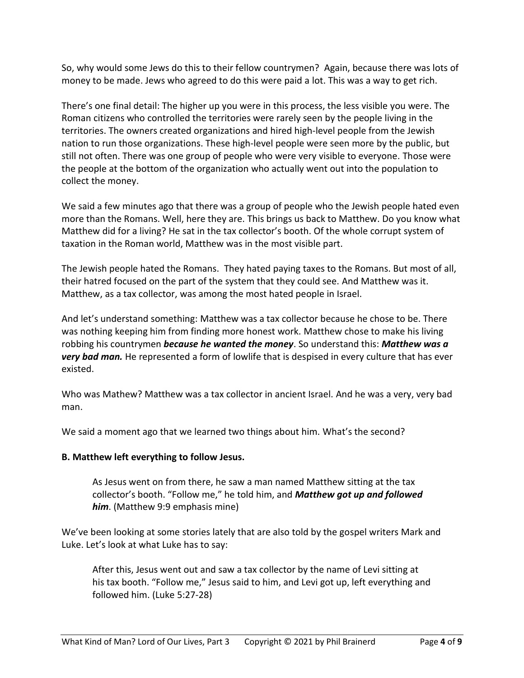So, why would some Jews do this to their fellow countrymen? Again, because there was lots of money to be made. Jews who agreed to do this were paid a lot. This was a way to get rich.

There's one final detail: The higher up you were in this process, the less visible you were. The Roman citizens who controlled the territories were rarely seen by the people living in the territories. The owners created organizations and hired high-level people from the Jewish nation to run those organizations. These high-level people were seen more by the public, but still not often. There was one group of people who were very visible to everyone. Those were the people at the bottom of the organization who actually went out into the population to collect the money.

We said a few minutes ago that there was a group of people who the Jewish people hated even more than the Romans. Well, here they are. This brings us back to Matthew. Do you know what Matthew did for a living? He sat in the tax collector's booth. Of the whole corrupt system of taxation in the Roman world, Matthew was in the most visible part.

The Jewish people hated the Romans. They hated paying taxes to the Romans. But most of all, their hatred focused on the part of the system that they could see. And Matthew was it. Matthew, as a tax collector, was among the most hated people in Israel.

And let's understand something: Matthew was a tax collector because he chose to be. There was nothing keeping him from finding more honest work. Matthew chose to make his living robbing his countrymen *because he wanted the money*. So understand this: *Matthew was a very bad man.* He represented a form of lowlife that is despised in every culture that has ever existed.

Who was Mathew? Matthew was a tax collector in ancient Israel. And he was a very, very bad man.

We said a moment ago that we learned two things about him. What's the second?

# **B. Matthew left everything to follow Jesus.**

As Jesus went on from there, he saw a man named Matthew sitting at the tax collector's booth. "Follow me," he told him, and *Matthew got up and followed him*. (Matthew 9:9 emphasis mine)

We've been looking at some stories lately that are also told by the gospel writers Mark and Luke. Let's look at what Luke has to say:

After this, Jesus went out and saw a tax collector by the name of Levi sitting at his tax booth. "Follow me," Jesus said to him, and Levi got up, left everything and followed him. (Luke 5:27-28)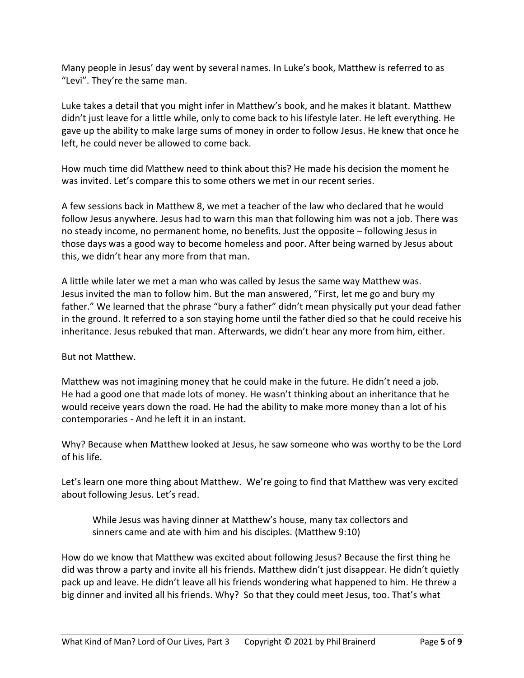Many people in Jesus' day went by several names. In Luke's book, Matthew is referred to as "Levi". They're the same man.

Luke takes a detail that you might infer in Matthew's book, and he makes it blatant. Matthew didn't just leave for a little while, only to come back to his lifestyle later. He left everything. He gave up the ability to make large sums of money in order to follow Jesus. He knew that once he left, he could never be allowed to come back.

How much time did Matthew need to think about this? He made his decision the moment he was invited. Let's compare this to some others we met in our recent series.

A few sessions back in Matthew 8, we met a teacher of the law who declared that he would follow Jesus anywhere. Jesus had to warn this man that following him was not a job. There was no steady income, no permanent home, no benefits. Just the opposite – following Jesus in those days was a good way to become homeless and poor. After being warned by Jesus about this, we didn't hear any more from that man.

A little while later we met a man who was called by Jesus the same way Matthew was. Jesus invited the man to follow him. But the man answered, "First, let me go and bury my father." We learned that the phrase "bury a father" didn't mean physically put your dead father in the ground. It referred to a son staying home until the father died so that he could receive his inheritance. Jesus rebuked that man. Afterwards, we didn't hear any more from him, either.

But not Matthew.

Matthew was not imagining money that he could make in the future. He didn't need a job. He had a good one that made lots of money. He wasn't thinking about an inheritance that he would receive years down the road. He had the ability to make more money than a lot of his contemporaries - And he left it in an instant.

Why? Because when Matthew looked at Jesus, he saw someone who was worthy to be the Lord of his life.

Let's learn one more thing about Matthew. We're going to find that Matthew was very excited about following Jesus. Let's read.

While Jesus was having dinner at Matthew's house, many tax collectors and sinners came and ate with him and his disciples. (Matthew 9:10)

How do we know that Matthew was excited about following Jesus? Because the first thing he did was throw a party and invite all his friends. Matthew didn't just disappear. He didn't quietly pack up and leave. He didn't leave all his friends wondering what happened to him. He threw a big dinner and invited all his friends. Why? So that they could meet Jesus, too. That's what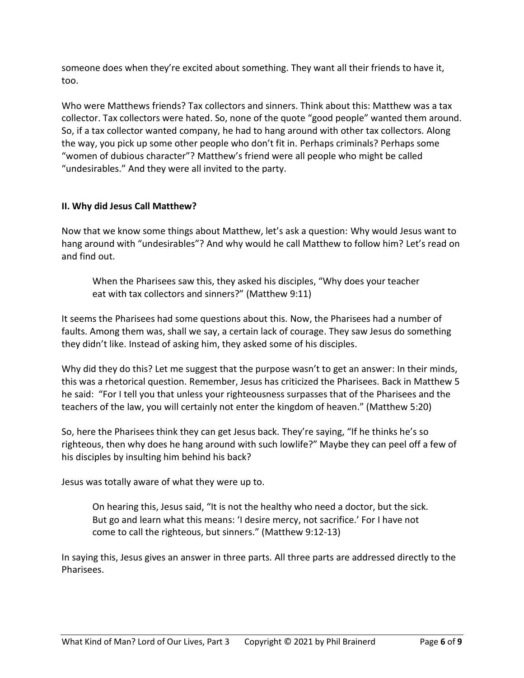someone does when they're excited about something. They want all their friends to have it, too.

Who were Matthews friends? Tax collectors and sinners. Think about this: Matthew was a tax collector. Tax collectors were hated. So, none of the quote "good people" wanted them around. So, if a tax collector wanted company, he had to hang around with other tax collectors. Along the way, you pick up some other people who don't fit in. Perhaps criminals? Perhaps some "women of dubious character"? Matthew's friend were all people who might be called "undesirables." And they were all invited to the party.

## **II. Why did Jesus Call Matthew?**

Now that we know some things about Matthew, let's ask a question: Why would Jesus want to hang around with "undesirables"? And why would he call Matthew to follow him? Let's read on and find out.

When the Pharisees saw this, they asked his disciples, "Why does your teacher eat with tax collectors and sinners?" (Matthew 9:11)

It seems the Pharisees had some questions about this. Now, the Pharisees had a number of faults. Among them was, shall we say, a certain lack of courage. They saw Jesus do something they didn't like. Instead of asking him, they asked some of his disciples.

Why did they do this? Let me suggest that the purpose wasn't to get an answer: In their minds, this was a rhetorical question. Remember, Jesus has criticized the Pharisees. Back in Matthew 5 he said: "For I tell you that unless your righteousness surpasses that of the Pharisees and the teachers of the law, you will certainly not enter the kingdom of heaven." (Matthew 5:20)

So, here the Pharisees think they can get Jesus back. They're saying, "If he thinks he's so righteous, then why does he hang around with such lowlife?" Maybe they can peel off a few of his disciples by insulting him behind his back?

Jesus was totally aware of what they were up to.

On hearing this, Jesus said, "It is not the healthy who need a doctor, but the sick. But go and learn what this means: 'I desire mercy, not sacrifice.' For I have not come to call the righteous, but sinners." (Matthew 9:12-13)

In saying this, Jesus gives an answer in three parts. All three parts are addressed directly to the Pharisees.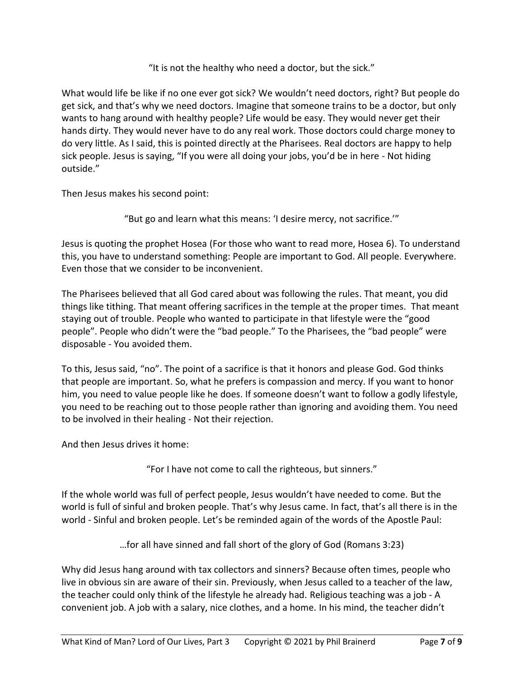"It is not the healthy who need a doctor, but the sick."

What would life be like if no one ever got sick? We wouldn't need doctors, right? But people do get sick, and that's why we need doctors. Imagine that someone trains to be a doctor, but only wants to hang around with healthy people? Life would be easy. They would never get their hands dirty. They would never have to do any real work. Those doctors could charge money to do very little. As I said, this is pointed directly at the Pharisees. Real doctors are happy to help sick people. Jesus is saying, "If you were all doing your jobs, you'd be in here - Not hiding outside."

Then Jesus makes his second point:

"But go and learn what this means: 'I desire mercy, not sacrifice.'"

Jesus is quoting the prophet Hosea (For those who want to read more, Hosea 6). To understand this, you have to understand something: People are important to God. All people. Everywhere. Even those that we consider to be inconvenient.

The Pharisees believed that all God cared about was following the rules. That meant, you did things like tithing. That meant offering sacrifices in the temple at the proper times. That meant staying out of trouble. People who wanted to participate in that lifestyle were the "good people". People who didn't were the "bad people." To the Pharisees, the "bad people" were disposable - You avoided them.

To this, Jesus said, "no". The point of a sacrifice is that it honors and please God. God thinks that people are important. So, what he prefers is compassion and mercy. If you want to honor him, you need to value people like he does. If someone doesn't want to follow a godly lifestyle, you need to be reaching out to those people rather than ignoring and avoiding them. You need to be involved in their healing - Not their rejection.

And then Jesus drives it home:

"For I have not come to call the righteous, but sinners."

If the whole world was full of perfect people, Jesus wouldn't have needed to come. But the world is full of sinful and broken people. That's why Jesus came. In fact, that's all there is in the world - Sinful and broken people. Let's be reminded again of the words of the Apostle Paul:

…for all have sinned and fall short of the glory of God (Romans 3:23)

Why did Jesus hang around with tax collectors and sinners? Because often times, people who live in obvious sin are aware of their sin. Previously, when Jesus called to a teacher of the law, the teacher could only think of the lifestyle he already had. Religious teaching was a job - A convenient job. A job with a salary, nice clothes, and a home. In his mind, the teacher didn't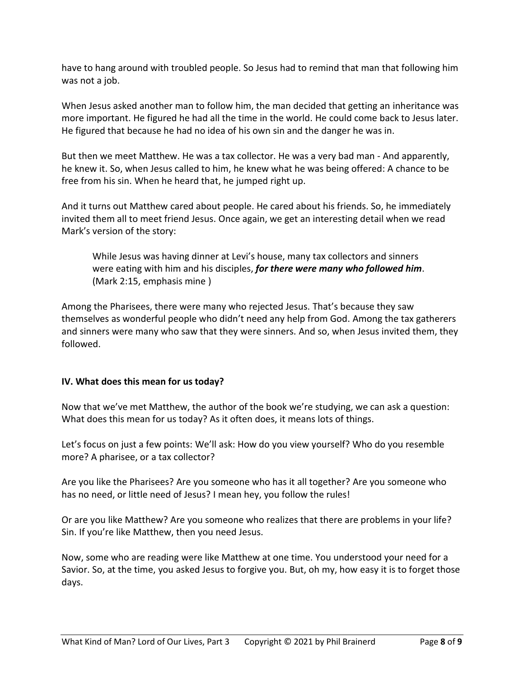have to hang around with troubled people. So Jesus had to remind that man that following him was not a job.

When Jesus asked another man to follow him, the man decided that getting an inheritance was more important. He figured he had all the time in the world. He could come back to Jesus later. He figured that because he had no idea of his own sin and the danger he was in.

But then we meet Matthew. He was a tax collector. He was a very bad man - And apparently, he knew it. So, when Jesus called to him, he knew what he was being offered: A chance to be free from his sin. When he heard that, he jumped right up.

And it turns out Matthew cared about people. He cared about his friends. So, he immediately invited them all to meet friend Jesus. Once again, we get an interesting detail when we read Mark's version of the story:

While Jesus was having dinner at Levi's house, many tax collectors and sinners were eating with him and his disciples, *for there were many who followed him*. (Mark 2:15, emphasis mine )

Among the Pharisees, there were many who rejected Jesus. That's because they saw themselves as wonderful people who didn't need any help from God. Among the tax gatherers and sinners were many who saw that they were sinners. And so, when Jesus invited them, they followed.

## **IV. What does this mean for us today?**

Now that we've met Matthew, the author of the book we're studying, we can ask a question: What does this mean for us today? As it often does, it means lots of things.

Let's focus on just a few points: We'll ask: How do you view yourself? Who do you resemble more? A pharisee, or a tax collector?

Are you like the Pharisees? Are you someone who has it all together? Are you someone who has no need, or little need of Jesus? I mean hey, you follow the rules!

Or are you like Matthew? Are you someone who realizes that there are problems in your life? Sin. If you're like Matthew, then you need Jesus.

Now, some who are reading were like Matthew at one time. You understood your need for a Savior. So, at the time, you asked Jesus to forgive you. But, oh my, how easy it is to forget those days.